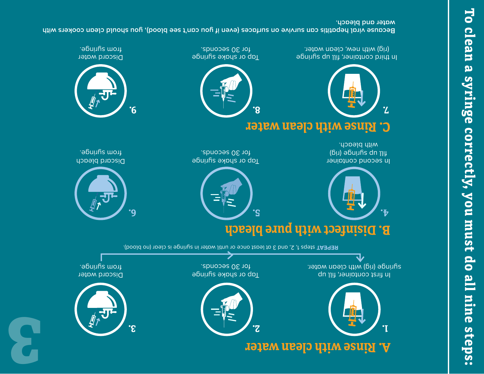

with bleach. fill bouily separate (rig) In second container

rig) with new, clean water.

19

**7.**

## **C. Rinse with clean water**



for 30 seconds. Tap or shake syringe

. for 30 seconds Tap or shake syringe

小 <u>.የ.</u>

from afluinge<sup>.</sup> Discard bleach

from afluinge<sup>.</sup> Discard water

In third container, fill up syringe

**water and bleach. Because viral hepatitis can survive on surfaces (even if you can't see blood), you should clean cookers with**